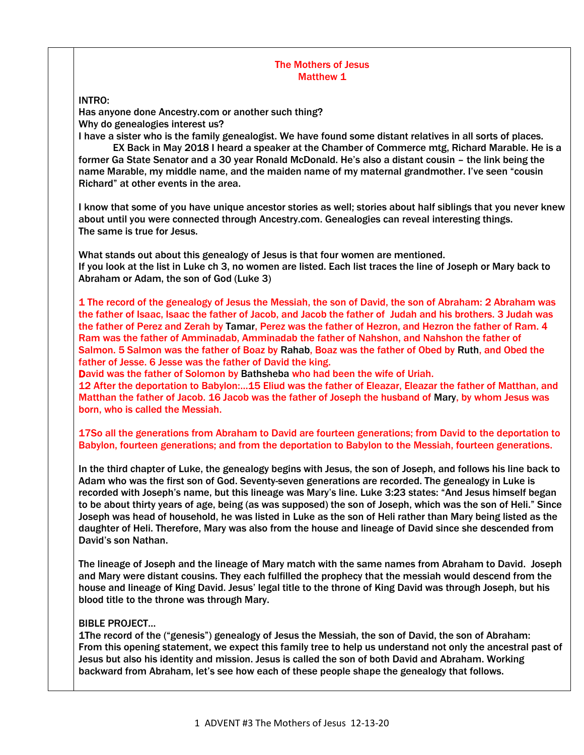#### The Mothers of Jesus Matthew 1

#### INTRO:

Has anyone done Ancestry.com or another such thing? Why do genealogies interest us?

I have a sister who is the family genealogist. We have found some distant relatives in all sorts of places.

EX Back in May 2018 I heard a speaker at the Chamber of Commerce mtg, Richard Marable. He is a former Ga State Senator and a 30 year Ronald McDonald. He's also a distant cousin – the link being the name Marable, my middle name, and the maiden name of my maternal grandmother. I've seen "cousin Richard" at other events in the area.

I know that some of you have unique ancestor stories as well; stories about half siblings that you never knew about until you were connected through Ancestry.com. Genealogies can reveal interesting things. The same is true for Jesus.

What stands out about this genealogy of Jesus is that four women are mentioned. If you look at the list in Luke ch 3, no women are listed. Each list traces the line of Joseph or Mary back to Abraham or Adam, the son of God (Luke 3)

1 The record of the genealogy of Jesus the Messiah, the son of David, the son of Abraham: 2 Abraham was the father of Isaac, Isaac the father of Jacob, and Jacob the father of Judah and his brothers. 3 Judah was the father of Perez and Zerah by Tamar, Perez was the father of Hezron, and Hezron the father of Ram. 4 Ram was the father of Amminadab, Amminadab the father of Nahshon, and Nahshon the father of Salmon. 5 Salmon was the father of Boaz by Rahab, Boaz was the father of Obed by Ruth, and Obed the father of Jesse. 6 Jesse was the father of David the king.

David was the father of Solomon by Bathsheba who had been the wife of Uriah.

12 After the deportation to Babylon:…15 Eliud was the father of Eleazar, Eleazar the father of Matthan, and Matthan the father of Jacob. 16 Jacob was the father of Joseph the husband of Mary, by whom Jesus was born, who is called the Messiah.

17So all the generations from Abraham to David are fourteen generations; from David to the deportation to Babylon, fourteen generations; and from the deportation to Babylon to the Messiah, fourteen generations.

In the third chapter of Luke, the genealogy begins with Jesus, the son of Joseph, and follows his line back to Adam who was the first son of God. Seventy-seven generations are recorded. The genealogy in Luke is recorded with Joseph's name, but this lineage was Mary's line. Luke 3:23 states: "And Jesus himself began to be about thirty years of age, being (as was supposed) the son of Joseph, which was the son of Heli." Since Joseph was head of household, he was listed in Luke as the son of Heli rather than Mary being listed as the daughter of Heli. Therefore, Mary was also from the house and lineage of David since she descended from David's son Nathan.

The lineage of Joseph and the lineage of Mary match with the same names from Abraham to David. Joseph and Mary were distant cousins. They each fulfilled the prophecy that the messiah would descend from the house and lineage of King David. Jesus' legal title to the throne of King David was through Joseph, but his blood title to the throne was through Mary.

## BIBLE PROJECT…

1The record of the ("genesis") genealogy of Jesus the Messiah, the son of David, the son of Abraham: From this opening statement, we expect this family tree to help us understand not only the ancestral past of Jesus but also his identity and mission. Jesus is called the son of both David and Abraham. Working backward from Abraham, let's see how each of these people shape the genealogy that follows.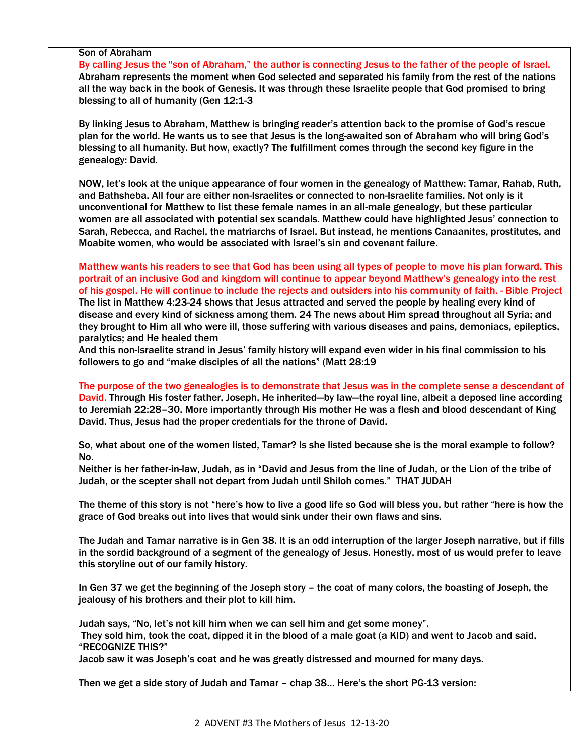Son of Abraham

By calling Jesus the "son of Abraham," the author is connecting Jesus to the father of the people of Israel. Abraham represents the moment when God selected and separated his family from the rest of the nations all the way back in the book of Genesis. It was through these Israelite people that God promised to bring blessing to all of humanity (Gen 12:1-3

By linking Jesus to Abraham, Matthew is bringing reader's attention back to the promise of God's rescue plan for the world. He wants us to see that Jesus is the long-awaited son of Abraham who will bring God's blessing to all humanity. But how, exactly? The fulfillment comes through the second key figure in the genealogy: David.

NOW, let's look at the unique appearance of four women in the genealogy of Matthew: Tamar, Rahab, Ruth, and Bathsheba. All four are either non-Israelites or connected to non-Israelite families. Not only is it unconventional for Matthew to list these female names in an all-male genealogy, but these particular women are all associated with potential sex scandals. Matthew could have highlighted Jesus' connection to Sarah, Rebecca, and Rachel, the matriarchs of Israel. But instead, he mentions Canaanites, prostitutes, and Moabite women, who would be associated with Israel's sin and covenant failure.

# Matthew wants his readers to see that God has been using all types of people to move his plan forward. This portrait of an inclusive God and kingdom will continue to appear beyond Matthew's genealogy into the rest of his gospel. He will continue to include the rejects and outsiders into his community of faith. - Bible Project

The list in Matthew 4:23-24 shows that Jesus attracted and served the people by healing every kind of disease and every kind of sickness among them. 24 The news about Him spread throughout all Syria; and they brought to Him all who were ill, those suffering with various diseases and pains, demoniacs, epileptics, paralytics; and He healed them

And this non-Israelite strand in Jesus' family history will expand even wider in his final commission to his followers to go and "make disciples of all the nations" (Matt 28:19

The purpose of the two genealogies is to demonstrate that Jesus was in the complete sense a descendant of David. Through His foster father, Joseph, He inherited—by law—the royal line, albeit a deposed line according to Jeremiah 22:28–30. More importantly through His mother He was a flesh and blood descendant of King David. Thus, Jesus had the proper credentials for the throne of David.

So, what about one of the women listed, Tamar? Is she listed because she is the moral example to follow? No.

Neither is her father-in-law, Judah, as in "David and Jesus from the line of Judah, or the Lion of the tribe of Judah, or the scepter shall not depart from Judah until Shiloh comes." THAT JUDAH

The theme of this story is not "here's how to live a good life so God will bless you, but rather "here is how the grace of God breaks out into lives that would sink under their own flaws and sins.

The Judah and Tamar narrative is in Gen 38. It is an odd interruption of the larger Joseph narrative, but if fills in the sordid background of a segment of the genealogy of Jesus. Honestly, most of us would prefer to leave this storyline out of our family history.

In Gen 37 we get the beginning of the Joseph story – the coat of many colors, the boasting of Joseph, the jealousy of his brothers and their plot to kill him.

Judah says, "No, let's not kill him when we can sell him and get some money". They sold him, took the coat, dipped it in the blood of a male goat (a KID) and went to Jacob and said, "RECOGNIZE THIS?"

Jacob saw it was Joseph's coat and he was greatly distressed and mourned for many days.

Then we get a side story of Judah and Tamar – chap 38… Here's the short PG-13 version: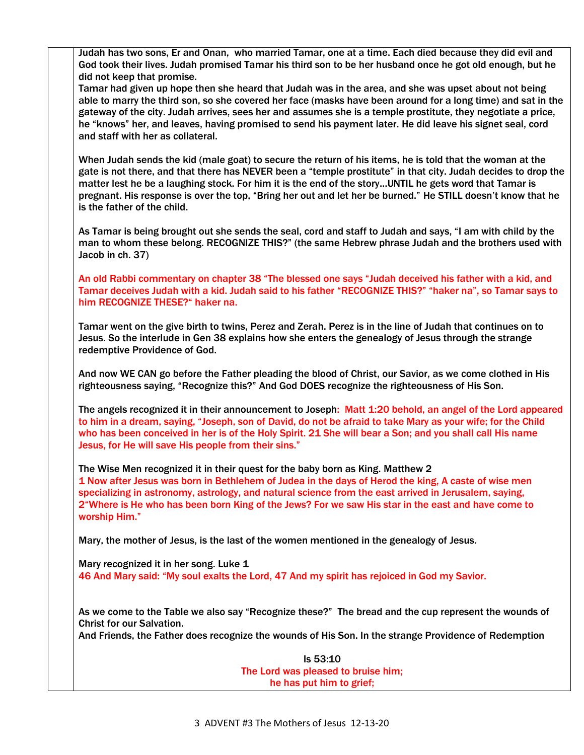Judah has two sons, Er and Onan, who married Tamar, one at a time. Each died because they did evil and God took their lives. Judah promised Tamar his third son to be her husband once he got old enough, but he did not keep that promise.

Tamar had given up hope then she heard that Judah was in the area, and she was upset about not being able to marry the third son, so she covered her face (masks have been around for a long time) and sat in the gateway of the city. Judah arrives, sees her and assumes she is a temple prostitute, they negotiate a price, he "knows" her, and leaves, having promised to send his payment later. He did leave his signet seal, cord and staff with her as collateral.

When Judah sends the kid (male goat) to secure the return of his items, he is told that the woman at the gate is not there, and that there has NEVER been a "temple prostitute" in that city. Judah decides to drop the matter lest he be a laughing stock. For him it is the end of the story…UNTIL he gets word that Tamar is pregnant. His response is over the top, "Bring her out and let her be burned." He STILL doesn't know that he is the father of the child.

As Tamar is being brought out she sends the seal, cord and staff to Judah and says, "I am with child by the man to whom these belong. RECOGNIZE THIS?" (the same Hebrew phrase Judah and the brothers used with Jacob in ch. 37)

An old Rabbi commentary on chapter 38 "The blessed one says "Judah deceived his father with a kid, and Tamar deceives Judah with a kid. Judah said to his father "RECOGNIZE THIS?" "haker na", so Tamar says to him RECOGNIZE THESE?" haker na.

Tamar went on the give birth to twins, Perez and Zerah. Perez is in the line of Judah that continues on to Jesus. So the interlude in Gen 38 explains how she enters the genealogy of Jesus through the strange redemptive Providence of God.

And now WE CAN go before the Father pleading the blood of Christ, our Savior, as we come clothed in His righteousness saying, "Recognize this?" And God DOES recognize the righteousness of His Son.

The angels recognized it in their announcement to Joseph: Matt 1:20 behold, an angel of the Lord appeared to him in a dream, saying, "Joseph, son of David, do not be afraid to take Mary as your wife; for the Child who has been conceived in her is of the Holy Spirit. 21 She will bear a Son; and you shall call His name Jesus, for He will save His people from their sins."

The Wise Men recognized it in their quest for the baby born as King. Matthew 2 1 Now after Jesus was born in Bethlehem of Judea in the days of Herod the king, A caste of wise men specializing in astronomy, astrology, and natural science from the east arrived in Jerusalem, saying, 2"Where is He who has been born King of the Jews? For we saw His star in the east and have come to worship Him."

Mary, the mother of Jesus, is the last of the women mentioned in the genealogy of Jesus.

Mary recognized it in her song. Luke 1 46 And Mary said: "My soul exalts the Lord, 47 And my spirit has rejoiced in God my Savior.

As we come to the Table we also say "Recognize these?" The bread and the cup represent the wounds of Christ for our Salvation.

And Friends, the Father does recognize the wounds of His Son. In the strange Providence of Redemption

Is 53:10 The Lord was pleased to bruise him; he has put him to grief;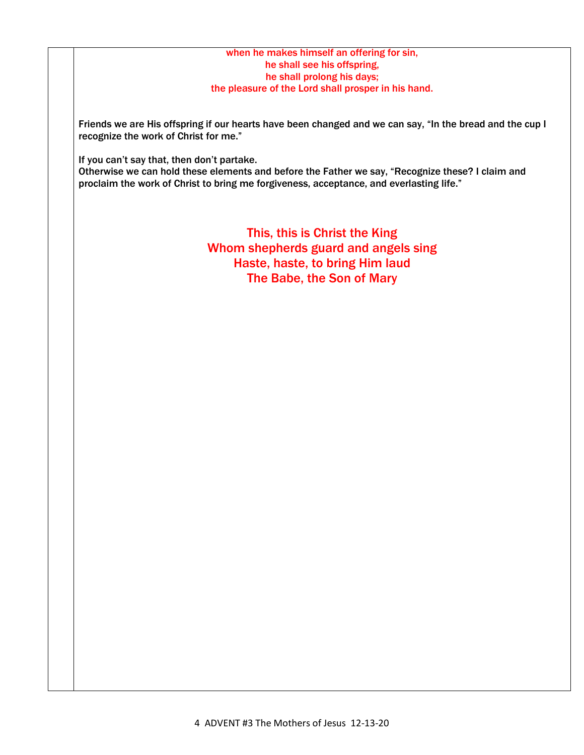# when he makes himself an offering for sin, he shall see his offspring, he shall prolong his days; the pleasure of the Lord shall prosper in his hand.

Friends we are His offspring if our hearts have been changed and we can say, "In the bread and the cup I recognize the work of Christ for me."

If you can't say that, then don't partake.

Otherwise we can hold these elements and before the Father we say, "Recognize these? I claim and proclaim the work of Christ to bring me forgiveness, acceptance, and everlasting life."

> This, this is Christ the King Whom shepherds guard and angels sing Haste, haste, to bring Him laud The Babe, the Son of Mary